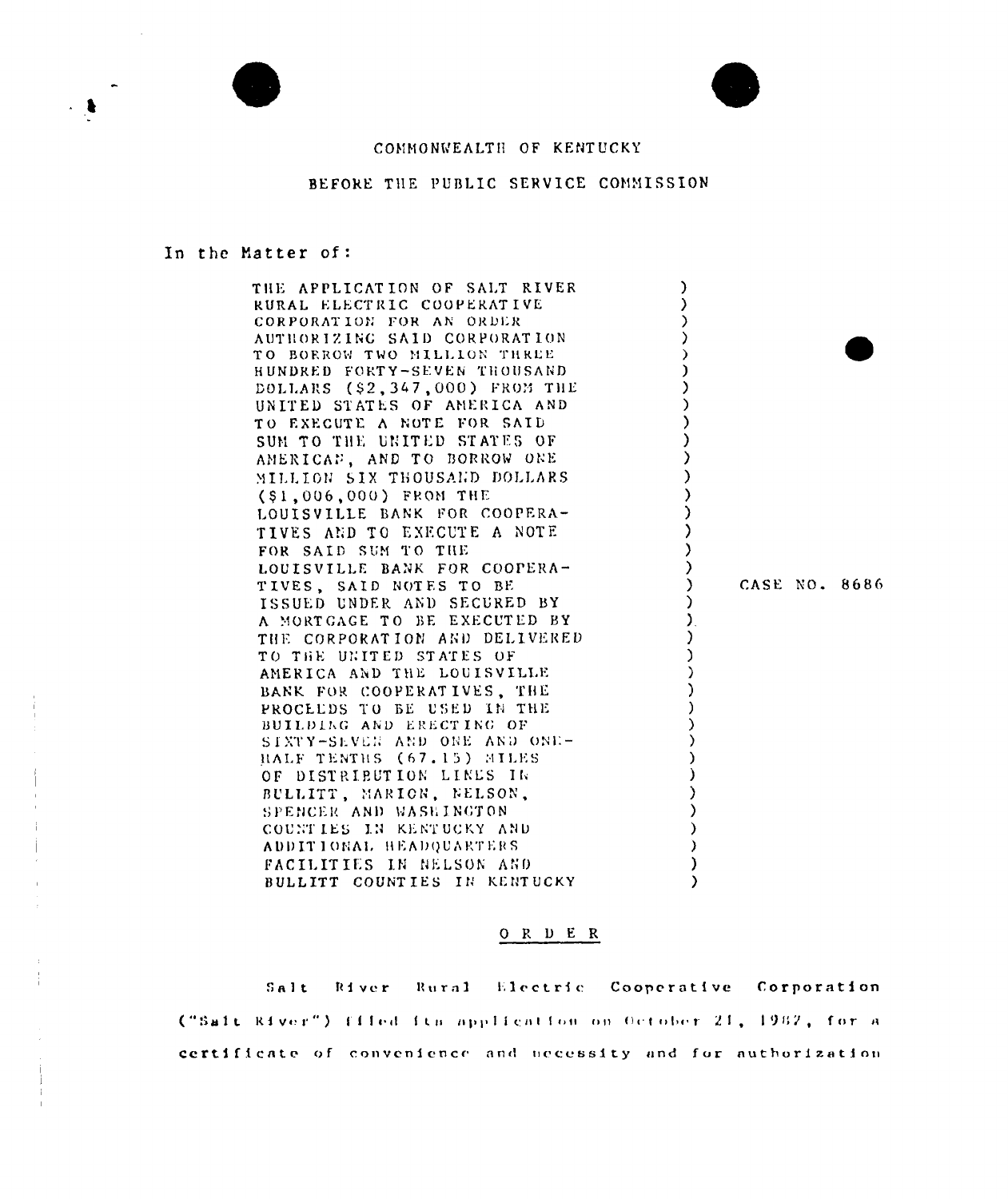



## COMMONWEALTH OF KENTUCKY

# BEFORE THE PUBLIC SERVICE COMMISSION

#### In the Matter of:

 $\mathbf{j}$ 

÷ř,

| THE APPLICATION OF SALT RIVER   |           |  |               |
|---------------------------------|-----------|--|---------------|
| RURAL ELECTRIC COOPERATIVE      |           |  |               |
| CORPORATION FOR AN ORDER        |           |  |               |
| AUTHORIZING SAID CORPORATION    |           |  |               |
| TO BORROW TWO MILLION THREE     | $\lambda$ |  |               |
| HUNDRED FORTY-SEVEN THOUSAND    |           |  |               |
| DOLLARS (\$2,347,000) FROM THE  |           |  |               |
| UNITED STATES OF AMERICA AND    |           |  |               |
| TO EXECUTE A NOTE FOR SAID      |           |  |               |
| SUM TO THE UNITED STATES OF     |           |  |               |
| AMERICAN, AND TO BORROW ONE     |           |  |               |
| MILLION SIX THOUSAND DOLLARS    |           |  |               |
| $( $1,006,000)$ FROM THE        |           |  |               |
| LOUISVILLE BANK FOR COOPERA-    |           |  |               |
| TIVES AND TO EXECUTE A NOTE     |           |  |               |
| FOR SAID SUM TO THE             |           |  |               |
| LOUISVILLE BANK FOR COOPERA-    |           |  |               |
| TIVES, SAID NOTES TO BE         |           |  | CASE NO. 8686 |
| ISSUED UNDER AND SECURED BY     |           |  |               |
| A MORTGAGE TO BE EXECUTED BY    |           |  |               |
| THE CORPORATION AND DELIVERED   |           |  |               |
| TO THE UNITED STATES OF         |           |  |               |
| AMERICA AND THE LOUISVILLE      |           |  |               |
| BANK FOR COOPERATIVES, THE      |           |  |               |
| PROCELDS TO BE USED IN THE      |           |  |               |
| BUILDING AND ERECTING OF        |           |  |               |
| SIXTY-SEVEN AND ONE AND ONE-    |           |  |               |
| HALF TENTHS (67.15) MILES       |           |  |               |
| OF DISTRIBUTION LINES IN        |           |  |               |
| BULLITT, MARION, NELSON,        |           |  |               |
| SPENCER AND WASHINGTON          |           |  |               |
| COUNTIES IN KENTUCKY AND        |           |  |               |
| ADDITIONAL HEADQUARTERS         |           |  |               |
| <b>FACILITIES IN NELSON AND</b> |           |  |               |
| BULLITT COUNTIES IN KENTUCKY    |           |  |               |

## $O R D E R$

Salt River Rural Electric Cooperative Corporation ("Sait River") filed its application on October 21, 1982, for a certificate of convenience and necessity and for authorization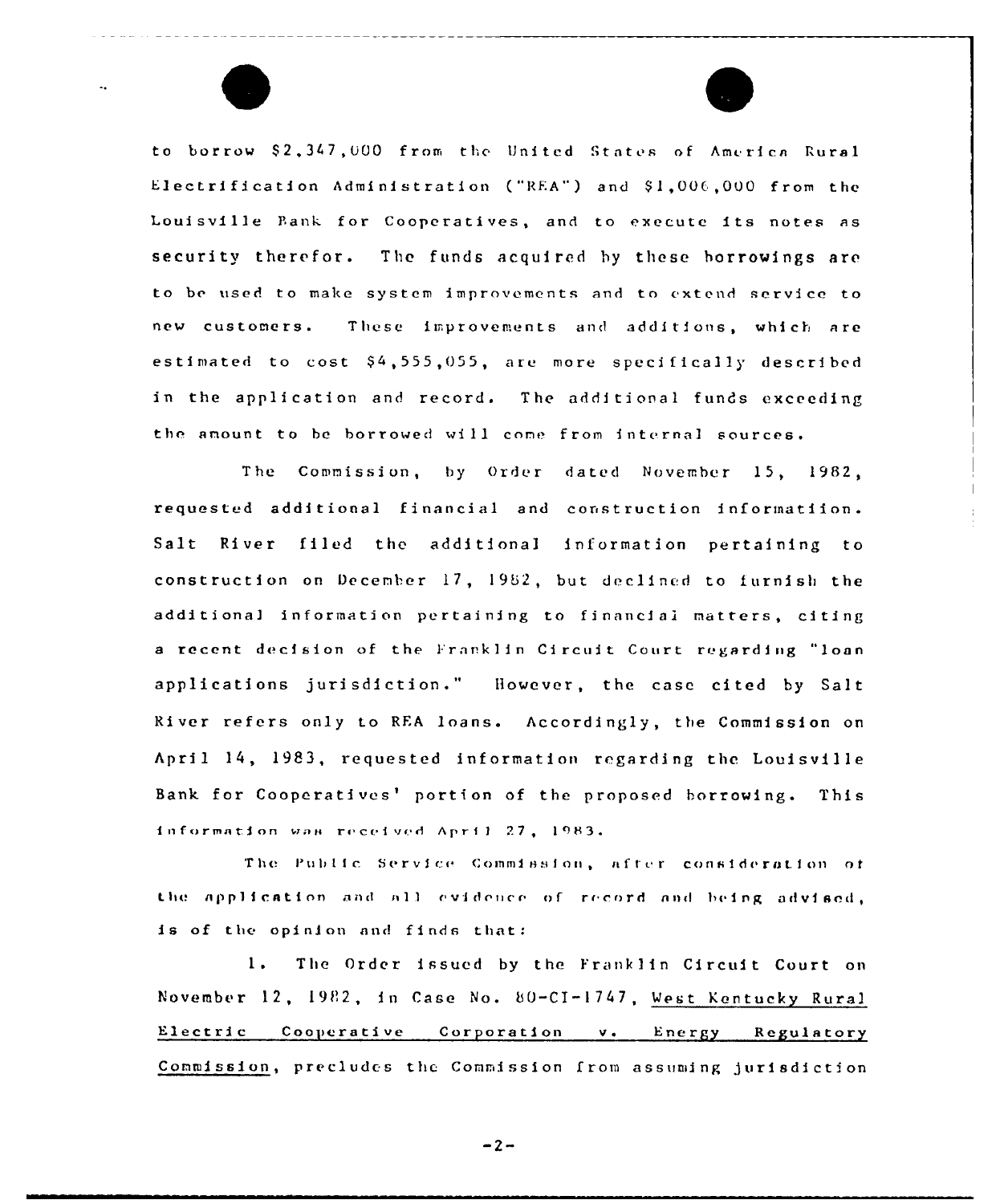to borrow \$2,347,000 from the United States of America Rural Electrification Administration ("REA") and \$1,006,000 from the Louisville Bank for Cooperatives, and to execute its notes as security therefor. The funds acquired by these borrowings are to be used to make system improvements and to extend service to new customers. These improvements and additions, which are estimated to cost \$4,555,055, are more specifically described in the application and record. The additional funds exceeding the amount to be borrowed will come from internal sources.

The Commission, by Order dated November 15, 1982, requested additional financial and construction informatiion. Salt River filed the additional information pertaining to construction on December 17, 1982, but declined to furnish the additional information pertaining to financial matters, citing a recent decision of the Franklin Circuit Court regarding "loan applications jurisdiction." However, the case cited by Salt River refers only to REA loans. Accordingly, the Commission on April 14, 1983, requested information regarding the Louisville Bank for Cooperatives' portion of the proposed borrowing. This information was received April 27, 1983.

The Public Service Commission, after consideration of the application and all evidence of record and being advised, is of the opinion and finds that:

The Order issued by the Franklin Circuit Court on  $1.$ November 12, 1982, in Case No. 80-CI-1747, West Kentucky Rural Electric Cooperative Corporation v. Energy Regulatory Commission, precludes the Commission from assuming jurisdiction

 $-2-$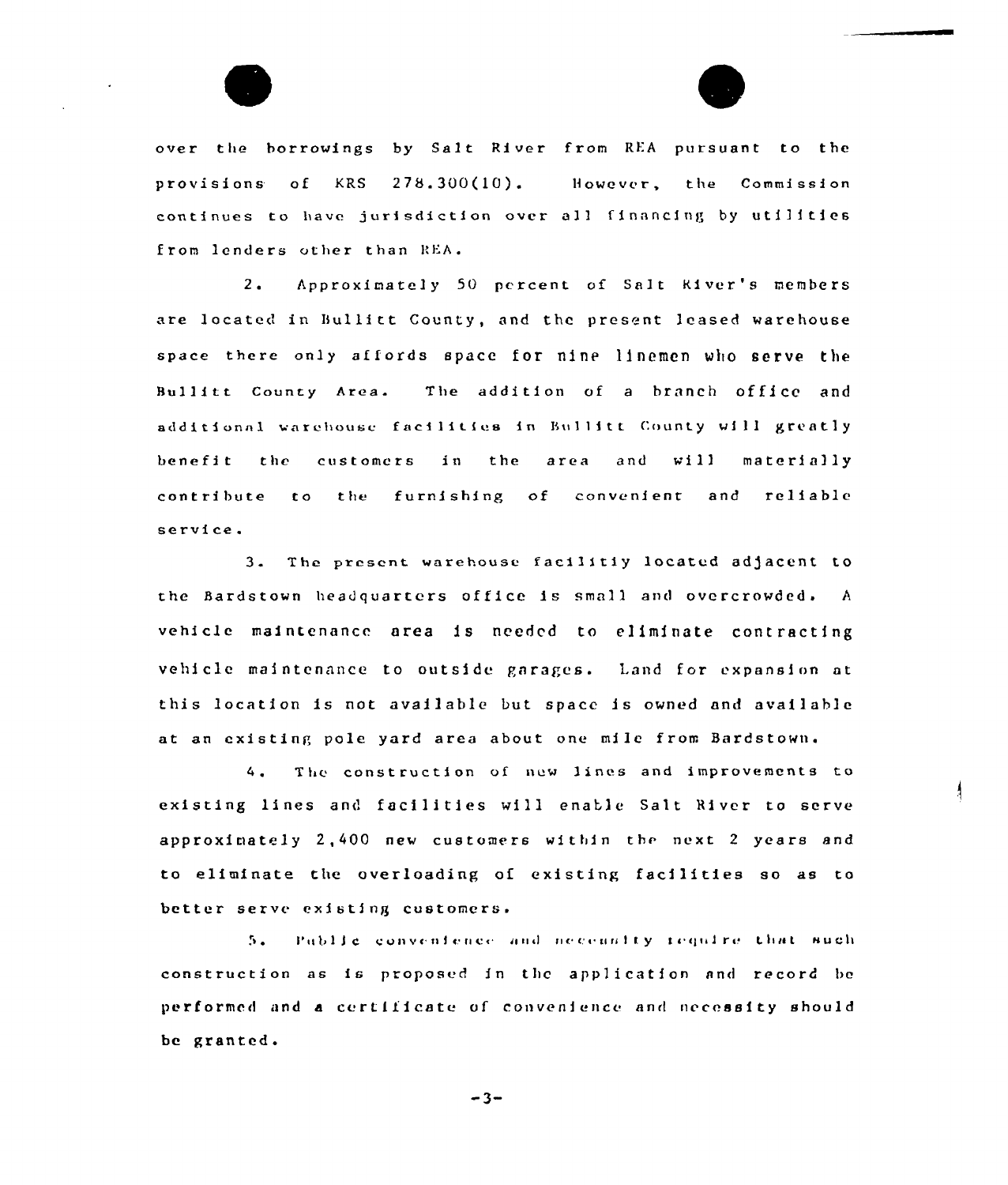

over the borrowings by Salt River from REA pursuant to the provisions of KRS 278.300(10). However, the Commission continues to have jurisdiction over all financing by utilities from lenders other than REA.

 $2.1$ Approximately 50 percent of Salt River's members are located in Bullitt County, and the present leased warehouse space there only affords space for nine linemen who serve the Bullitt County Area. The addition of a branch office and additional warehouse facilities in Bullitt County will greatly benefit the customers in the area and will materially contribute to the furnishing of convenient and reliable service.

3. The present warehouse facilitiy located adjacent to the Bardstown headquarters office is small and overcrowded. A vehicle maintenance area is needed to eliminate contracting vehicle maintenance to outside garages. Land for expansion at this location is not available but space is owned and available at an existing pole yard area about one mile from Bardstown.

 $4.1$ The construction of new lines and improvements to existing lines and facilities will enable Salt River to serve approximately 2,400 new customers within the next 2 years and to eliminate the overloading of existing facilities so as to better serve existing customers.

Public convenience and necessity require that such 5. construction as is proposed in the application and record be performed and a certificate of convenience and necessity should be granted.

 $-3-$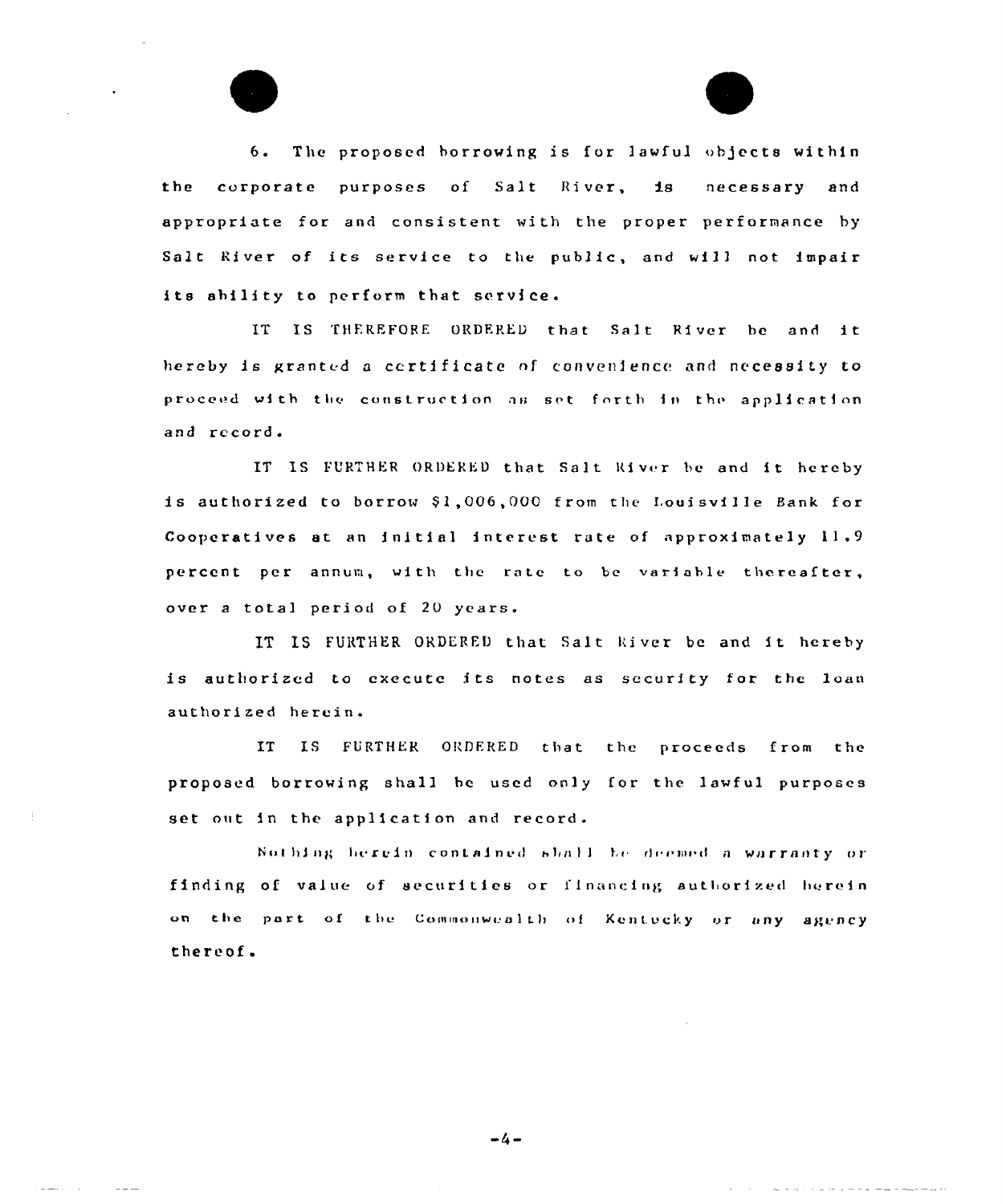6. The proposed borrowing is for lawful objects within the corporate purposes of Salt River, is necessary and appropriate for and consistent with the proper performance by Salt River of its service to the public, and will not impair its ability to perform that service.

IT IS THEREFORE ORDERED that Salt River be and it hereby is granted a certificate of convenience and necessity to proceed with the construction as set forth in the application and record.

IT IS FURTHER ORDERED that Salt River be and it hereby is authorized to borrow \$1,006,000 from the Louisville Bank for Cooperatives at an initial interest rate of approximately 11.9 percent per annum, with the rate to be variable thereafter, over a total period of 20 years.

IT IS FURTHER ORDERED that Salt kiver be and it hereby is authorized to execute its notes as security for the loan authorized herein.

IT IS FURTHER ORDERED that the proceeds from the proposed borrowing shall he used only for the lawful purposes set out in the application and record.

Nothing berein contained shall be deemed a warranty or finding of value of securities or financing authorized herein on the part of the Commonwealth of Kentucky or any agency thereof.

 $-4-$